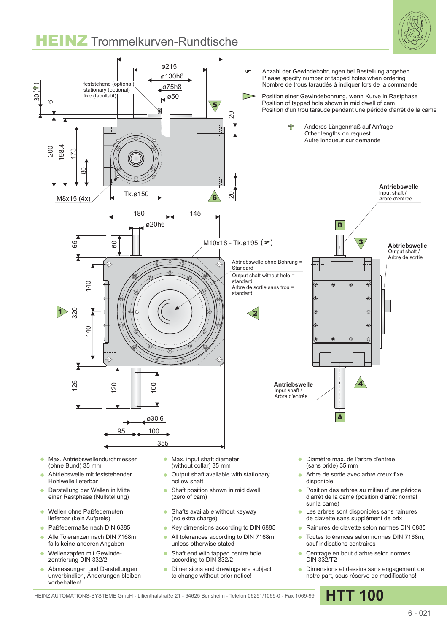## **HEINZ** Trommelkurven-Rundtische





- Max. Antriebswellendurchmesser  $\sim$ (ohne Bund) 35 mm
- Abtriebswelle mit feststehender Hohlwelle lieferbar
- Darstellung der Wellen in Mitte  $\bullet$ einer Rastphase (Nullstellung)
- Wellen ohne Paßfedernuten  $\bullet$ lieferbar (kein Aufpreis)
- Paßfedermaße nach DIN 6885
- Alle Toleranzen nach DIN 7168m,  $\Delta$ falls keine anderen Angaben
- Wellenzapfen mit Gewindezentrierung DIN 332/2
- Abmessungen und Darstellungen unverbindlich, Änderungen bleiben vorbehalten!
- Max. input shaft diameter Ä (without collar) 35 mm
- Output shaft available with stationary hollow shaft
- Shaft position shown in mid dwell  $\bullet$ (zero of cam)
- Shafts available without keyway  $\bullet$ (no extra charge)
- Key dimensions according to DIN 6885  $\bullet$
- All tolerances according to DIN 7168m, ä unless otherwise stated
- ä Shaft end with tapped centre hole according to DIN 332/2
- Dimensions and drawings are subject to change without prior notice!
- Diamètre max. de l'arbre d'entrée (sans bride) 35 mm
- Arbre de sortie avec arbre creux fixe disponible
- Position des arbres au milieu d'une période d'arrêt de la came (position d'arrêt normal sur la came)
- Les arbres sont disponibles sans rainures de clavette sans supplément de prix
- Rainures de clavette selon normes DIN 6885
- Toutes tolérances selon normes DIN 7168m, sauf indications contraires
- Centrage en bout d'arbre selon normes DIN 332/T2
- **•** Dimensions et dessins sans engagement de notre part, sous réserve de modifications!

HEINZ AUTOMATIONS-SYSTEME GmbH - Lilienthalstraße 21 - 64625 Bensheim - Telefon 06251/1069-0 - Fax 1069-99 **HTT 100**